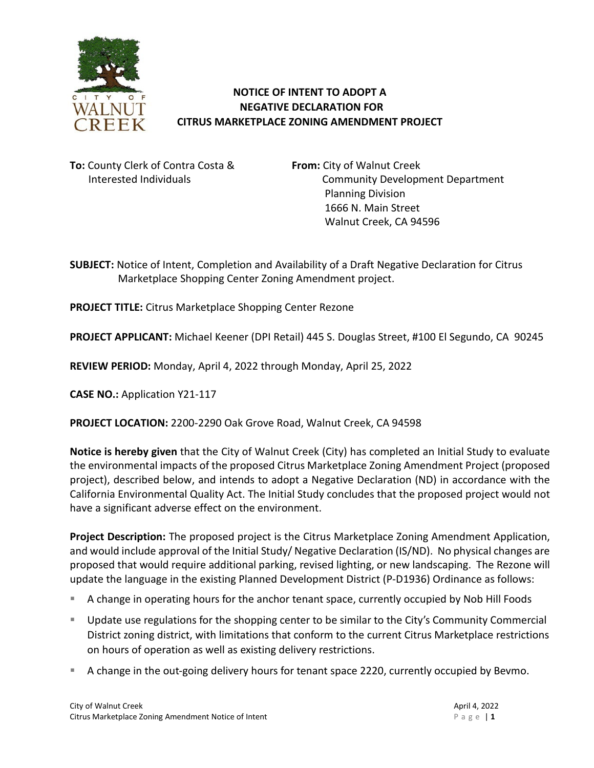

## **NOTICE OF INTENT TO ADOPT A NEGATIVE DECLARATION FOR CITRUS MARKETPLACE ZONING AMENDMENT PROJECT**

**To:** County Clerk of Contra Costa & **From:** City of Walnut Creek

Interested Individuals Community Development Department Planning Division 1666 N. Main Street Walnut Creek, CA 94596

**SUBJECT:** Notice of Intent, Completion and Availability of a Draft Negative Declaration for Citrus Marketplace Shopping Center Zoning Amendment project.

**PROJECT TITLE:** Citrus Marketplace Shopping Center Rezone

**PROJECT APPLICANT:** Michael Keener (DPI Retail) 445 S. Douglas Street, #100 El Segundo, CA 90245

**REVIEW PERIOD:** Monday, April 4, 2022 through Monday, April 25, 2022

**CASE NO.:** Application Y21-117

**PROJECT LOCATION:** 2200-2290 Oak Grove Road, Walnut Creek, CA 94598

**Notice is hereby given** that the City of Walnut Creek (City) has completed an Initial Study to evaluate the environmental impacts of the proposed Citrus Marketplace Zoning Amendment Project (proposed project), described below, and intends to adopt a Negative Declaration (ND) in accordance with the California Environmental Quality Act. The Initial Study concludes that the proposed project would not have a significant adverse effect on the environment.

**Project Description:** The proposed project is the Citrus Marketplace Zoning Amendment Application, and would include approval of the Initial Study/ Negative Declaration (IS/ND). No physical changes are proposed that would require additional parking, revised lighting, or new landscaping. The Rezone will update the language in the existing Planned Development District (P-D1936) Ordinance as follows:

- A change in operating hours for the anchor tenant space, currently occupied by Nob Hill Foods
- Update use regulations for the shopping center to be similar to the City's Community Commercial District zoning district, with limitations that conform to the current Citrus Marketplace restrictions on hours of operation as well as existing delivery restrictions.
- A change in the out-going delivery hours for tenant space 2220, currently occupied by Bevmo.